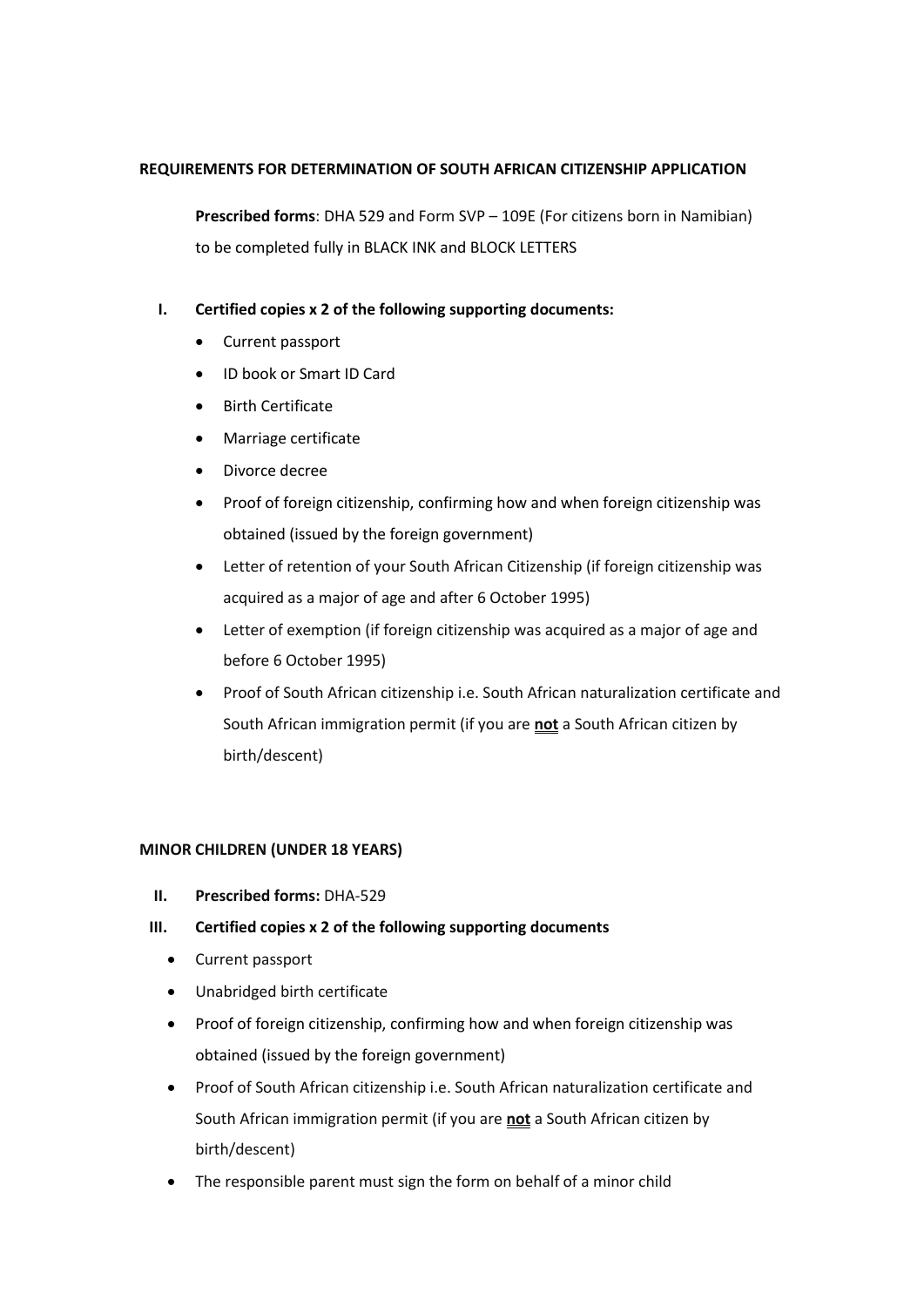## **REQUIREMENTS FOR DETERMINATION OF SOUTH AFRICAN CITIZENSHIP APPLICATION**

**Prescribed forms**: DHA 529 and Form SVP – 109E (For citizens born in Namibian) to be completed fully in BLACK INK and BLOCK LETTERS

- **I. Certified copies x 2 of the following supporting documents:** 
	- Current passport
	- ID book or Smart ID Card
	- Birth Certificate
	- Marriage certificate
	- Divorce decree
	- Proof of foreign citizenship, confirming how and when foreign citizenship was obtained (issued by the foreign government)
	- Letter of retention of your South African Citizenship (if foreign citizenship was acquired as a major of age and after 6 October 1995)
	- Letter of exemption (if foreign citizenship was acquired as a major of age and before 6 October 1995)
	- Proof of South African citizenship i.e. South African naturalization certificate and South African immigration permit (if you are **not** a South African citizen by birth/descent)

## **MINOR CHILDREN (UNDER 18 YEARS)**

- **II. Prescribed forms:** DHA-529
- **III. Certified copies x 2 of the following supporting documents**
	- Current passport
	- Unabridged birth certificate
	- Proof of foreign citizenship, confirming how and when foreign citizenship was obtained (issued by the foreign government)
	- Proof of South African citizenship i.e. South African naturalization certificate and South African immigration permit (if you are **not** a South African citizen by birth/descent)
	- The responsible parent must sign the form on behalf of a minor child